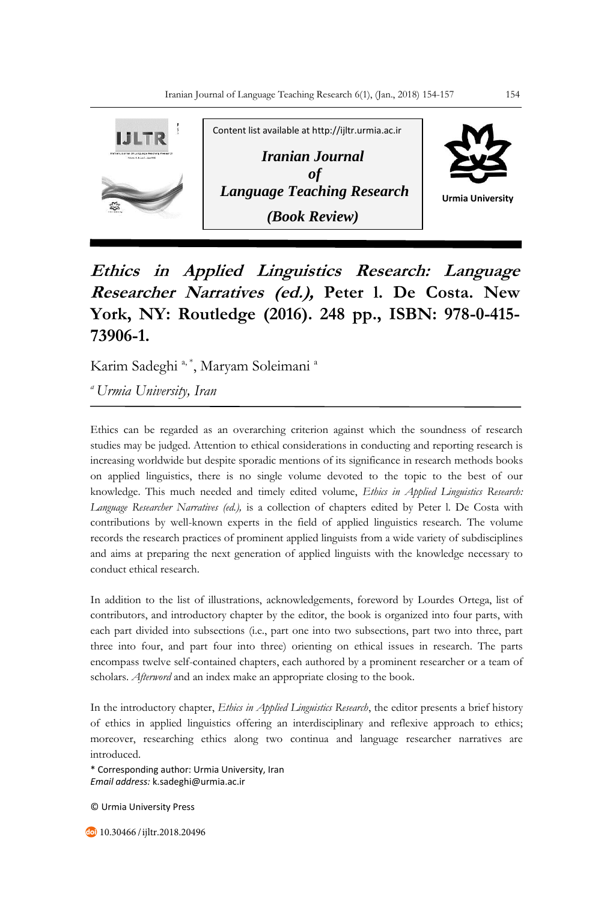

**Ethics in Applied Linguistics Research: Language Researcher Narratives (ed.), Peter l. De Costa. New York, NY: Routledge (2016). 248 pp., ISBN: 978-0-415- 73906-1.**

Karim Sadeghi<sup>a, \*</sup>, Maryam Soleimani<sup>a</sup>

*<sup>a</sup>Urmia University, Iran*

Ethics can be regarded as an overarching criterion against which the soundness of research studies may be judged. Attention to ethical considerations in conducting and reporting research is increasing worldwide but despite sporadic mentions of its significance in research methods books on applied linguistics, there is no single volume devoted to the topic to the best of our knowledge. This much needed and timely edited volume, *Ethics in Applied Linguistics Research: Language Researcher Narratives (ed.),* is a collection of chapters edited by Peter l. De Costa with contributions by well-known experts in the field of applied linguistics research. The volume records the research practices of prominent applied linguists from a wide variety of subdisciplines and aims at preparing the next generation of applied linguists with the knowledge necessary to conduct ethical research.

In addition to the list of illustrations, acknowledgements, foreword by Lourdes Ortega, list of contributors, and introductory chapter by the editor, the book is organized into four parts, with each part divided into subsections (i.e., part one into two subsections, part two into three, part three into four, and part four into three) orienting on ethical issues in research. The parts encompass twelve self-contained chapters, each authored by a prominent researcher or a team of scholars. *Afterword* and an index make an appropriate closing to the book.

In the introductory chapter, *Ethics in Applied Linguistics Research*, the editor presents a brief history of ethics in applied linguistics offering an interdisciplinary and reflexive approach to ethics; moreover, researching ethics along two continua and language researcher narratives are introduced.

\* Corresponding author: Urmia University, Iran *Email address:* k.sadeghi@urmia.ac.ir

© Urmia University Press

10.30466 /ijltr.2018.20496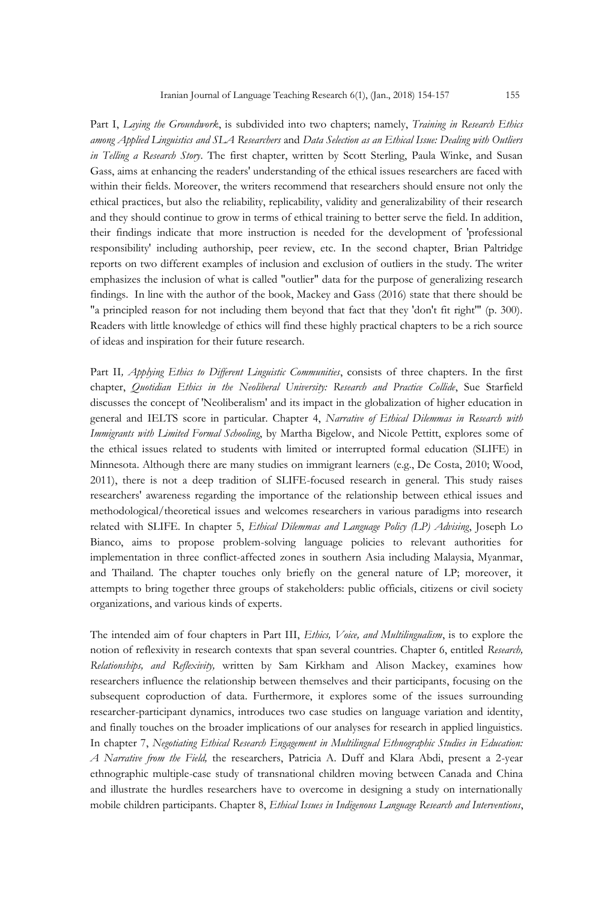Part I, *Laying the Groundwork*, is subdivided into two chapters; namely, *Training in Research Ethics among Applied Linguistics and SLA Researchers* and *Data Selection as an Ethical Issue: Dealing with Outliers in Telling a Research Story*. The first chapter, written by Scott Sterling, Paula Winke, and Susan Gass, aims at enhancing the readers' understanding of the ethical issues researchers are faced with within their fields. Moreover, the writers recommend that researchers should ensure not only the ethical practices, but also the reliability, replicability, validity and generalizability of their research and they should continue to grow in terms of ethical training to better serve the field. In addition, their findings indicate that more instruction is needed for the development of 'professional responsibility' including authorship, peer review, etc. In the second chapter, Brian Paltridge reports on two different examples of inclusion and exclusion of outliers in the study. The writer emphasizes the inclusion of what is called "outlier" data for the purpose of generalizing research findings. In line with the author of the book, Mackey and Gass (2016) state that there should be "a principled reason for not including them beyond that fact that they 'don't fit right'" (p. 300). Readers with little knowledge of ethics will find these highly practical chapters to be a rich source of ideas and inspiration for their future research.

Part II*, Applying Ethics to Different Linguistic Communities*, consists of three chapters. In the first chapter, *Quotidian Ethics in the Neoliberal University: Research and Practice Collide*, Sue Starfield discusses the concept of 'Neoliberalism' and its impact in the globalization of higher education in general and IELTS score in particular. Chapter 4, *Narrative of Ethical Dilemmas in Research with Immigrants with Limited Formal Schooling*, by Martha Bigelow, and Nicole Pettitt, explores some of the ethical issues related to students with limited or interrupted formal education (SLIFE) in Minnesota. Although there are many studies on immigrant learners (e.g., De Costa, 2010; Wood, 2011), there is not a deep tradition of SLIFE-focused research in general. This study raises researchers' awareness regarding the importance of the relationship between ethical issues and methodological/theoretical issues and welcomes researchers in various paradigms into research related with SLIFE. In chapter 5, *Ethical Dilemmas and Language Policy (LP) Advising*, Joseph Lo Bianco, aims to propose problem-solving language policies to relevant authorities for implementation in three conflict-affected zones in southern Asia including Malaysia, Myanmar, and Thailand. The chapter touches only briefly on the general nature of LP; moreover, it attempts to bring together three groups of stakeholders: public officials, citizens or civil society organizations, and various kinds of experts.

The intended aim of four chapters in Part III, *Ethics, Voice, and Multilingualism*, is to explore the notion of reflexivity in research contexts that span several countries. Chapter 6, entitled *Research, Relationships, and Reflexivity,* written by Sam Kirkham and Alison Mackey, examines how researchers influence the relationship between themselves and their participants, focusing on the subsequent coproduction of data. Furthermore, it explores some of the issues surrounding researcher-participant dynamics, introduces two case studies on language variation and identity, and finally touches on the broader implications of our analyses for research in applied linguistics. In chapter 7, *Negotiating Ethical Research Engagement in Multilingual Ethnographic Studies in Education: A Narrative from the Field,* the researchers, Patricia A. Duff and Klara Abdi, present a 2-year ethnographic multiple-case study of transnational children moving between Canada and China and illustrate the hurdles researchers have to overcome in designing a study on internationally mobile children participants. Chapter 8, *Ethical Issues in Indigenous Language Research and Interventions*,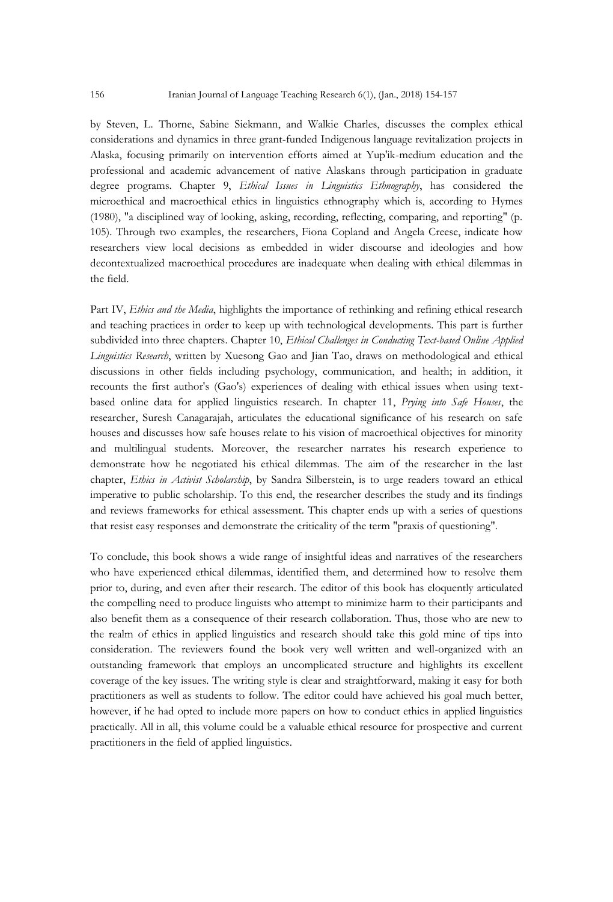by Steven, L. Thorne, Sabine Siekmann, and Walkie Charles, discusses the complex ethical considerations and dynamics in three grant-funded Indigenous language revitalization projects in Alaska, focusing primarily on intervention efforts aimed at Yup'ik-medium education and the professional and academic advancement of native Alaskans through participation in graduate degree programs. Chapter 9, *Ethical Issues in Linguistics Ethnography*, has considered the microethical and macroethical ethics in linguistics ethnography which is, according to Hymes (1980), "a disciplined way of looking, asking, recording, reflecting, comparing, and reporting" (p. 105). Through two examples, the researchers, Fiona Copland and Angela Creese, indicate how researchers view local decisions as embedded in wider discourse and ideologies and how decontextualized macroethical procedures are inadequate when dealing with ethical dilemmas in the field.

Part IV, *Ethics and the Media*, highlights the importance of rethinking and refining ethical research and teaching practices in order to keep up with technological developments. This part is further subdivided into three chapters. Chapter 10, *Ethical Challenges in Conducting Text-based Online Applied Linguistics Research*, written by Xuesong Gao and Jian Tao, draws on methodological and ethical discussions in other fields including psychology, communication, and health; in addition, it recounts the first author's (Gao's) experiences of dealing with ethical issues when using textbased online data for applied linguistics research. In chapter 11, *Prying into Safe Houses*, the researcher, Suresh Canagarajah, articulates the educational significance of his research on safe houses and discusses how safe houses relate to his vision of macroethical objectives for minority and multilingual students. Moreover, the researcher narrates his research experience to demonstrate how he negotiated his ethical dilemmas. The aim of the researcher in the last chapter, *Ethics in Activist Scholarship*, by Sandra Silberstein, is to urge readers toward an ethical imperative to public scholarship. To this end, the researcher describes the study and its findings and reviews frameworks for ethical assessment. This chapter ends up with a series of questions that resist easy responses and demonstrate the criticality of the term "praxis of questioning".

To conclude, this book shows a wide range of insightful ideas and narratives of the researchers who have experienced ethical dilemmas, identified them, and determined how to resolve them prior to, during, and even after their research. The editor of this book has eloquently articulated the compelling need to produce linguists who attempt to minimize harm to their participants and also benefit them as a consequence of their research collaboration. Thus, those who are new to the realm of ethics in applied linguistics and research should take this gold mine of tips into consideration. The reviewers found the book very well written and well-organized with an outstanding framework that employs an uncomplicated structure and highlights its excellent coverage of the key issues. The writing style is clear and straightforward, making it easy for both practitioners as well as students to follow. The editor could have achieved his goal much better, however, if he had opted to include more papers on how to conduct ethics in applied linguistics practically. All in all, this volume could be a valuable ethical resource for prospective and current practitioners in the field of applied linguistics.